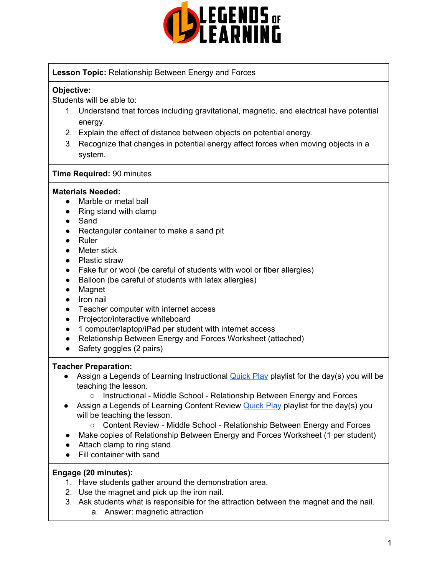

## **Lesson Topic:** Relationship Between Energy and Forces

## **Objective:**

Students will be able to:

- 1. Understand that forces including gravitational, magnetic, and electrical have potential energy.
- 2. Explain the effect of distance between objects on potential energy.
- 3. Recognize that changes in potential energy affect forces when moving objects in a system.

### **Time Required:** 90 minutes

### **Materials Needed:**

- Marble or metal ball
- Ring stand with clamp
- Sand
- Rectangular container to make a sand pit
- Ruler
- Meter stick
- Plastic straw
- Fake fur or wool (be careful of students with wool or fiber allergies)
- Balloon (be careful of students with latex allergies)
- Magnet
- Iron nail
- Teacher computer with internet access
- Projector/interactive whiteboard
- 1 computer/laptop/iPad per student with internet access
- Relationship Between Energy and Forces Worksheet (attached)
- Safety goggles (2 pairs)

### **Teacher Preparation:**

- **•** Assign a Legends of Learning Instructional [Quick](https://intercom.help/legends-of-learning/en/articles/2701866-assigning-a-quick-play-playlist) Play playlist for the day(s) you will be teaching the lesson.
	- Instructional Middle School Relationship Between Energy and Forces
- Assign a Legends of Learning Content Review [Quick](https://intercom.help/legends-of-learning/en/articles/2701866-assigning-a-quick-play-playlist) Play playlist for the day(s) you will be teaching the lesson.
	- Content Review Middle School Relationship Between Energy and Forces
- Make copies of Relationship Between Energy and Forces Worksheet (1 per student)
- Attach clamp to ring stand
- Fill container with sand

### **Engage (20 minutes):**

- 1. Have students gather around the demonstration area.
- 2. Use the magnet and pick up the iron nail.
- 3. Ask students what is responsible for the attraction between the magnet and the nail. a. Answer: magnetic attraction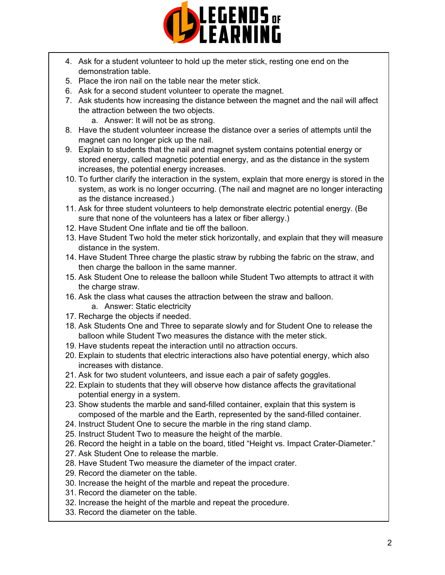

- 4. Ask for a student volunteer to hold up the meter stick, resting one end on the demonstration table.
- 5. Place the iron nail on the table near the meter stick.
- 6. Ask for a second student volunteer to operate the magnet.
- 7. Ask students how increasing the distance between the magnet and the nail will affect the attraction between the two objects.
	- a. Answer: It will not be as strong.
- 8. Have the student volunteer increase the distance over a series of attempts until the magnet can no longer pick up the nail.
- 9. Explain to students that the nail and magnet system contains potential energy or stored energy, called magnetic potential energy, and as the distance in the system increases, the potential energy increases.
- 10. To further clarify the interaction in the system, explain that more energy is stored in the system, as work is no longer occurring. (The nail and magnet are no longer interacting as the distance increased.)
- 11. Ask for three student volunteers to help demonstrate electric potential energy. (Be sure that none of the volunteers has a latex or fiber allergy.)
- 12. Have Student One inflate and tie off the balloon.
- 13. Have Student Two hold the meter stick horizontally, and explain that they will measure distance in the system.
- 14. Have Student Three charge the plastic straw by rubbing the fabric on the straw, and then charge the balloon in the same manner.
- 15. Ask Student One to release the balloon while Student Two attempts to attract it with the charge straw.
- 16. Ask the class what causes the attraction between the straw and balloon.
	- a. Answer: Static electricity
- 17. Recharge the objects if needed.
- 18. Ask Students One and Three to separate slowly and for Student One to release the balloon while Student Two measures the distance with the meter stick.
- 19. Have students repeat the interaction until no attraction occurs.
- 20. Explain to students that electric interactions also have potential energy, which also increases with distance.
- 21. Ask for two student volunteers, and issue each a pair of safety goggles.
- 22. Explain to students that they will observe how distance affects the gravitational potential energy in a system.
- 23. Show students the marble and sand-filled container, explain that this system is composed of the marble and the Earth, represented by the sand-filled container.
- 24. Instruct Student One to secure the marble in the ring stand clamp.
- 25. Instruct Student Two to measure the height of the marble.
- 26. Record the height in a table on the board, titled "Height vs. Impact Crater-Diameter."
- 27. Ask Student One to release the marble.
- 28. Have Student Two measure the diameter of the impact crater.
- 29. Record the diameter on the table.
- 30. Increase the height of the marble and repeat the procedure.
- 31. Record the diameter on the table.
- 32. Increase the height of the marble and repeat the procedure.
- 33. Record the diameter on the table.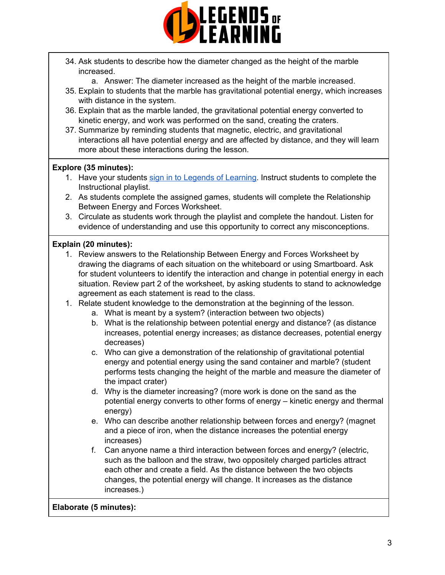

- 34. Ask students to describe how the diameter changed as the height of the marble increased.
	- a. Answer: The diameter increased as the height of the marble increased.
- 35. Explain to students that the marble has gravitational potential energy, which increases with distance in the system.
- 36. Explain that as the marble landed, the gravitational potential energy converted to kinetic energy, and work was performed on the sand, creating the craters.
- 37. Summarize by reminding students that magnetic, electric, and gravitational interactions all have potential energy and are affected by distance, and they will learn more about these interactions during the lesson.

## **Explore (35 minutes):**

- 1. Have your students sign in to Legends of [Learning](https://intercom.help/legends-of-learning/en/articles/2154920-students-joining-a-playlist). Instruct students to complete the Instructional playlist.
- 2. As students complete the assigned games, students will complete the Relationship Between Energy and Forces Worksheet.
- 3. Circulate as students work through the playlist and complete the handout. Listen for evidence of understanding and use this opportunity to correct any misconceptions.

# **Explain (20 minutes):**

- 1. Review answers to the Relationship Between Energy and Forces Worksheet by drawing the diagrams of each situation on the whiteboard or using Smartboard. Ask for student volunteers to identify the interaction and change in potential energy in each situation. Review part 2 of the worksheet, by asking students to stand to acknowledge agreement as each statement is read to the class.
- 1. Relate student knowledge to the demonstration at the beginning of the lesson.
	- a. What is meant by a system? (interaction between two objects)
	- b. What is the relationship between potential energy and distance? (as distance increases, potential energy increases; as distance decreases, potential energy decreases)
	- c. Who can give a demonstration of the relationship of gravitational potential energy and potential energy using the sand container and marble? (student performs tests changing the height of the marble and measure the diameter of the impact crater)
	- d. Why is the diameter increasing? (more work is done on the sand as the potential energy converts to other forms of energy – kinetic energy and thermal energy)
	- e. Who can describe another relationship between forces and energy? (magnet and a piece of iron, when the distance increases the potential energy increases)
	- f. Can anyone name a third interaction between forces and energy? (electric, such as the balloon and the straw, two oppositely charged particles attract each other and create a field. As the distance between the two objects changes, the potential energy will change. It increases as the distance increases.)

## **Elaborate (5 minutes):**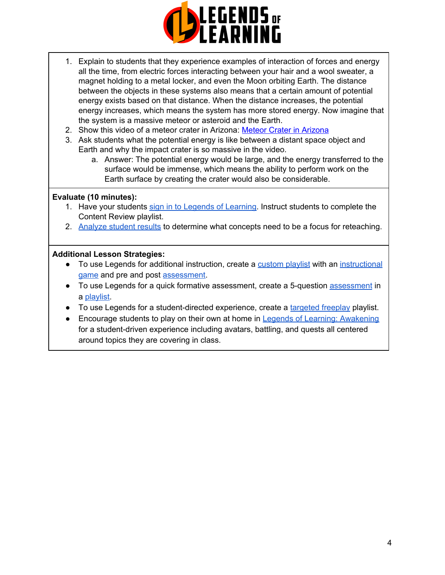

- 1. Explain to students that they experience examples of interaction of forces and energy all the time, from electric forces interacting between your hair and a wool sweater, a magnet holding to a metal locker, and even the Moon orbiting Earth. The distance between the objects in these systems also means that a certain amount of potential energy exists based on that distance. When the distance increases, the potential energy increases, which means the system has more stored energy. Now imagine that the system is a massive meteor or asteroid and the Earth.
- 2. Show this video of a meteor crater in Arizona: Meteor Crater in [Arizona](https://www.youtube.com/watch?v=odGrgsLkfUQ)
- 3. Ask students what the potential energy is like between a distant space object and Earth and why the impact crater is so massive in the video.
	- a. Answer: The potential energy would be large, and the energy transferred to the surface would be immense, which means the ability to perform work on the Earth surface by creating the crater would also be considerable.

### **Evaluate (10 minutes):**

- 1. Have your students sign in to Legends of [Learning](https://intercom.help/legends-of-learning/en/articles/2154920-students-joining-a-playlist). Instruct students to complete the Content Review playlist.
- 2. [Analyze](https://intercom.help/legends-of-learning/en/articles/2154918-tracking-student-progress-and-performance) student results to determine what concepts need to be a focus for reteaching.

## **Additional Lesson Strategies:**

- To use Legends for additional instruction, create a [custom](https://intercom.help/legends-of-learning/en/articles/2154910-creating-a-playlist) playlist with an [instructional](https://intercom.help/legends-of-learning/en/articles/3505828-types-of-games) [game](https://intercom.help/legends-of-learning/en/articles/3505828-types-of-games) and pre and post [assessment.](https://intercom.help/legends-of-learning/en/articles/2154913-adding-assessments-to-a-playlist)
- To use Legends for a quick formative [assessment](https://intercom.help/legends-of-learning/en/articles/2154913-adding-assessments-to-a-playlist), create a 5-question assessment in a [playlist.](https://intercom.help/legends-of-learning/en/articles/2154910-creating-a-playlist)
- To use Legends for a student-directed experience, create a [targeted](https://intercom.help/legends-of-learning/en/articles/3340814-targeted-freeplay) freeplay playlist.
- Encourage students to play on their own at home in Legends of Learning: [Awakening](https://intercom.help/legends-of-learning/en/articles/2425490-legends-of-learning-awakening) for a student-driven experience including avatars, battling, and quests all centered around topics they are covering in class.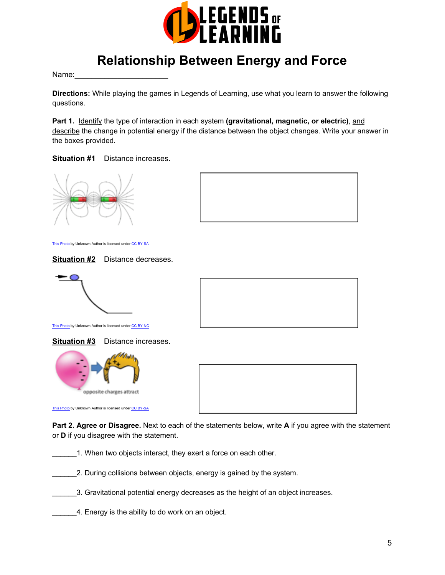

# **Relationship Between Energy and Force**

Name:

**Directions:** While playing the games in Legends of Learning, use what you learn to answer the following questions.

**Part 1.** Identify the type of interaction in each system **(gravitational, magnetic, or electric)**, and describe the change in potential energy if the distance between the object changes. Write your answer in the boxes provided.

**Situation #1** Distance increases.





This [Photo](http://physics.stackexchange.com/questions/184186/why-opposite-poles-of-magnet-attract-each-other-why-dont-they-repel) by Unknown Author is licensed under CC [BY-SA](https://creativecommons.org/licenses/by-sa/3.0/)







This [Photo](http://employees.csbsju.edu/hjakubowski/classes/ch331/lipidstruct/olthermoreview.htm) by Unknown Author is licensed under CC [BY-NC](https://creativecommons.org/licenses/by-nc/3.0/)

**Situation #3** Distance increases.





This [Photo](http://physics.stackexchange.com/questions/307000/which-charge-is-produced-when-an-air-balloon-is-rubbed-by-dry-hair) by Unknown Author is licensed under CC [BY-SA](https://creativecommons.org/licenses/by-sa/3.0/)

**Part 2. Agree or Disagree.** Next to each of the statements below, write **A** if you agree with the statement or **D** if you disagree with the statement.

1. When two objects interact, they exert a force on each other.

2. During collisions between objects, energy is gained by the system.

\_\_\_\_\_\_3. Gravitational potential energy decreases as the height of an object increases.

4. Energy is the ability to do work on an object.